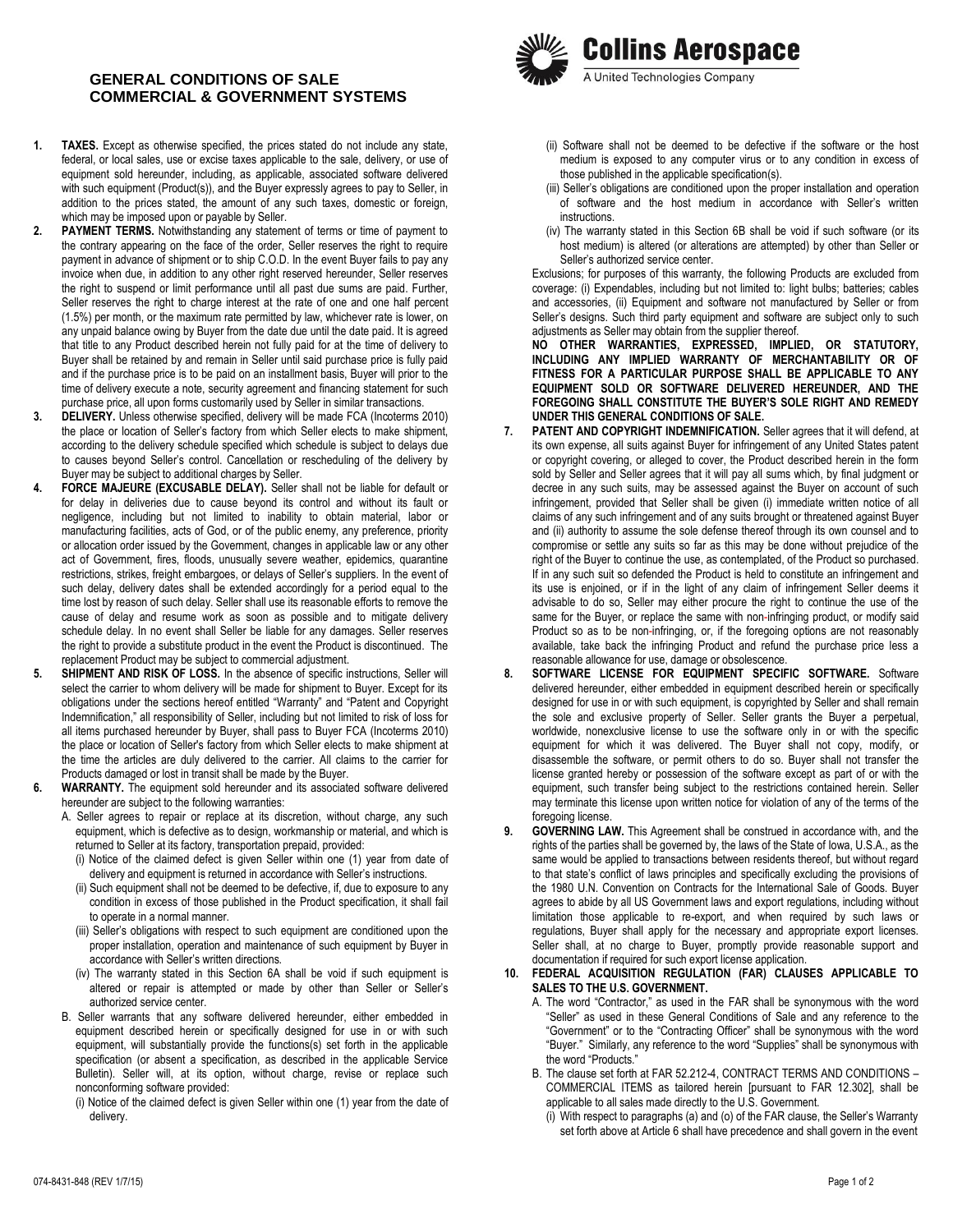## **GENERAL CONDITIONS OF SALE COMMERCIAL & GOVERNMENT SYSTEMS**

- **1. TAXES.** Except as otherwise specified, the prices stated do not include any state, federal, or local sales, use or excise taxes applicable to the sale, delivery, or use of equipment sold hereunder, including, as applicable, associated software delivered with such equipment (Product(s)), and the Buyer expressly agrees to pay to Seller, in addition to the prices stated, the amount of any such taxes, domestic or foreign, which may be imposed upon or payable by Seller.
- **2. PAYMENT TERMS.** Notwithstanding any statement of terms or time of payment to the contrary appearing on the face of the order, Seller reserves the right to require payment in advance of shipment or to ship C.O.D. In the event Buyer fails to pay any invoice when due, in addition to any other right reserved hereunder, Seller reserves the right to suspend or limit performance until all past due sums are paid. Further, Seller reserves the right to charge interest at the rate of one and one half percent (1.5%) per month, or the maximum rate permitted by law, whichever rate is lower, on any unpaid balance owing by Buyer from the date due until the date paid. It is agreed that title to any Product described herein not fully paid for at the time of delivery to Buyer shall be retained by and remain in Seller until said purchase price is fully paid and if the purchase price is to be paid on an installment basis, Buyer will prior to the time of delivery execute a note, security agreement and financing statement for such purchase price, all upon forms customarily used by Seller in similar transactions.
- **3. DELIVERY.** Unless otherwise specified, delivery will be made FCA (Incoterms 2010) the place or location of Seller's factory from which Seller elects to make shipment, according to the delivery schedule specified which schedule is subject to delays due to causes beyond Seller's control. Cancellation or rescheduling of the delivery by Buyer may be subject to additional charges by Seller.
- **4. FORCE MAJEURE (EXCUSABLE DELAY).** Seller shall not be liable for default or for delay in deliveries due to cause beyond its control and without its fault or negligence, including but not limited to inability to obtain material, labor or manufacturing facilities, acts of God, or of the public enemy, any preference, priority or allocation order issued by the Government, changes in applicable law or any other act of Government, fires, floods, unusually severe weather, epidemics, quarantine restrictions, strikes, freight embargoes, or delays of Seller's suppliers. In the event of such delay, delivery dates shall be extended accordingly for a period equal to the time lost by reason of such delay. Seller shall use its reasonable efforts to remove the cause of delay and resume work as soon as possible and to mitigate delivery schedule delay. In no event shall Seller be liable for any damages. Seller reserves the right to provide a substitute product in the event the Product is discontinued. The replacement Product may be subject to commercial adjustment.
- **5. SHIPMENT AND RISK OF LOSS.** In the absence of specific instructions, Seller will select the carrier to whom delivery will be made for shipment to Buyer. Except for its obligations under the sections hereof entitled "Warranty" and "Patent and Copyright Indemnification," all responsibility of Seller, including but not limited to risk of loss for all items purchased hereunder by Buyer, shall pass to Buyer FCA (Incoterms 2010) the place or location of Seller's factory from which Seller elects to make shipment at the time the articles are duly delivered to the carrier. All claims to the carrier for Products damaged or lost in transit shall be made by the Buyer.
- **6. WARRANTY.** The equipment sold hereunder and its associated software delivered hereunder are subject to the following warranties:
	- A. Seller agrees to repair or replace at its discretion, without charge, any such equipment, which is defective as to design, workmanship or material, and which is returned to Seller at its factory, transportation prepaid, provided:
		- (i) Notice of the claimed defect is given Seller within one (1) year from date of delivery and equipment is returned in accordance with Seller's instructions.
		- (ii) Such equipment shall not be deemed to be defective, if, due to exposure to any condition in excess of those published in the Product specification, it shall fail to operate in a normal manner.
		- (iii) Seller's obligations with respect to such equipment are conditioned upon the proper installation, operation and maintenance of such equipment by Buyer in accordance with Seller's written directions.
		- (iv) The warranty stated in this Section 6A shall be void if such equipment is altered or repair is attempted or made by other than Seller or Seller's authorized service center.
	- B. Seller warrants that any software delivered hereunder, either embedded in equipment described herein or specifically designed for use in or with such equipment, will substantially provide the functions(s) set forth in the applicable specification (or absent a specification, as described in the applicable Service Bulletin). Seller will, at its option, without charge, revise or replace such nonconforming software provided:
		- (i) Notice of the claimed defect is given Seller within one (1) year from the date of delivery.



- (ii) Software shall not be deemed to be defective if the software or the host medium is exposed to any computer virus or to any condition in excess of those published in the applicable specification(s).
- (iii) Seller's obligations are conditioned upon the proper installation and operation of software and the host medium in accordance with Seller's written instructions.
- (iv) The warranty stated in this Section 6B shall be void if such software (or its host medium) is altered (or alterations are attempted) by other than Seller or Seller's authorized service center.

Exclusions; for purposes of this warranty, the following Products are excluded from coverage: (i) Expendables, including but not limited to: light bulbs; batteries; cables and accessories, (ii) Equipment and software not manufactured by Seller or from Seller's designs. Such third party equipment and software are subject only to such adjustments as Seller may obtain from the supplier thereof.

**NO OTHER WARRANTIES, EXPRESSED, IMPLIED, OR STATUTORY, INCLUDING ANY IMPLIED WARRANTY OF MERCHANTABILITY OR OF FITNESS FOR A PARTICULAR PURPOSE SHALL BE APPLICABLE TO ANY EQUIPMENT SOLD OR SOFTWARE DELIVERED HEREUNDER, AND THE FOREGOING SHALL CONSTITUTE THE BUYER'S SOLE RIGHT AND REMEDY UNDER THIS GENERAL CONDITIONS OF SALE.**

- **7. PATENT AND COPYRIGHT INDEMNIFICATION.** Seller agrees that it will defend, at its own expense, all suits against Buyer for infringement of any United States patent or copyright covering, or alleged to cover, the Product described herein in the form sold by Seller and Seller agrees that it will pay all sums which, by final judgment or decree in any such suits, may be assessed against the Buyer on account of such infringement, provided that Seller shall be given (i) immediate written notice of all claims of any such infringement and of any suits brought or threatened against Buyer and (ii) authority to assume the sole defense thereof through its own counsel and to compromise or settle any suits so far as this may be done without prejudice of the right of the Buyer to continue the use, as contemplated, of the Product so purchased. If in any such suit so defended the Product is held to constitute an infringement and its use is enjoined, or if in the light of any claim of infringement Seller deems it advisable to do so, Seller may either procure the right to continue the use of the same for the Buyer, or replace the same with non-infringing product, or modify said Product so as to be non-infringing, or, if the foregoing options are not reasonably available, take back the infringing Product and refund the purchase price less a reasonable allowance for use, damage or obsolescence.
- **8. SOFTWARE LICENSE FOR EQUIPMENT SPECIFIC SOFTWARE.** Software delivered hereunder, either embedded in equipment described herein or specifically designed for use in or with such equipment, is copyrighted by Seller and shall remain the sole and exclusive property of Seller. Seller grants the Buyer a perpetual, worldwide, nonexclusive license to use the software only in or with the specific equipment for which it was delivered. The Buyer shall not copy, modify, or disassemble the software, or permit others to do so. Buyer shall not transfer the license granted hereby or possession of the software except as part of or with the equipment, such transfer being subject to the restrictions contained herein. Seller may terminate this license upon written notice for violation of any of the terms of the foregoing license.
- **9. GOVERNING LAW.** This Agreement shall be construed in accordance with, and the rights of the parties shall be governed by, the laws of the State of Iowa, U.S.A., as the same would be applied to transactions between residents thereof, but without regard to that state's conflict of laws principles and specifically excluding the provisions of the 1980 U.N. Convention on Contracts for the International Sale of Goods. Buyer agrees to abide by all US Government laws and export regulations, including without limitation those applicable to re-export, and when required by such laws or regulations, Buyer shall apply for the necessary and appropriate export licenses. Seller shall, at no charge to Buyer, promptly provide reasonable support and documentation if required for such export license application.
- **10. FEDERAL ACQUISITION REGULATION (FAR) CLAUSES APPLICABLE TO SALES TO THE U.S. GOVERNMENT.**
	- A. The word "Contractor," as used in the FAR shall be synonymous with the word "Seller" as used in these General Conditions of Sale and any reference to the "Government" or to the "Contracting Officer" shall be synonymous with the word "Buyer." Similarly, any reference to the word "Supplies" shall be synonymous with the word "Products."
	- B. The clause set forth at FAR 52.212-4, CONTRACT TERMS AND CONDITIONS COMMERCIAL ITEMS as tailored herein [pursuant to FAR 12.302], shall be applicable to all sales made directly to the U.S. Government.
		- (i) With respect to paragraphs (a) and (o) of the FAR clause, the Seller's Warranty set forth above at Article 6 shall have precedence and shall govern in the event